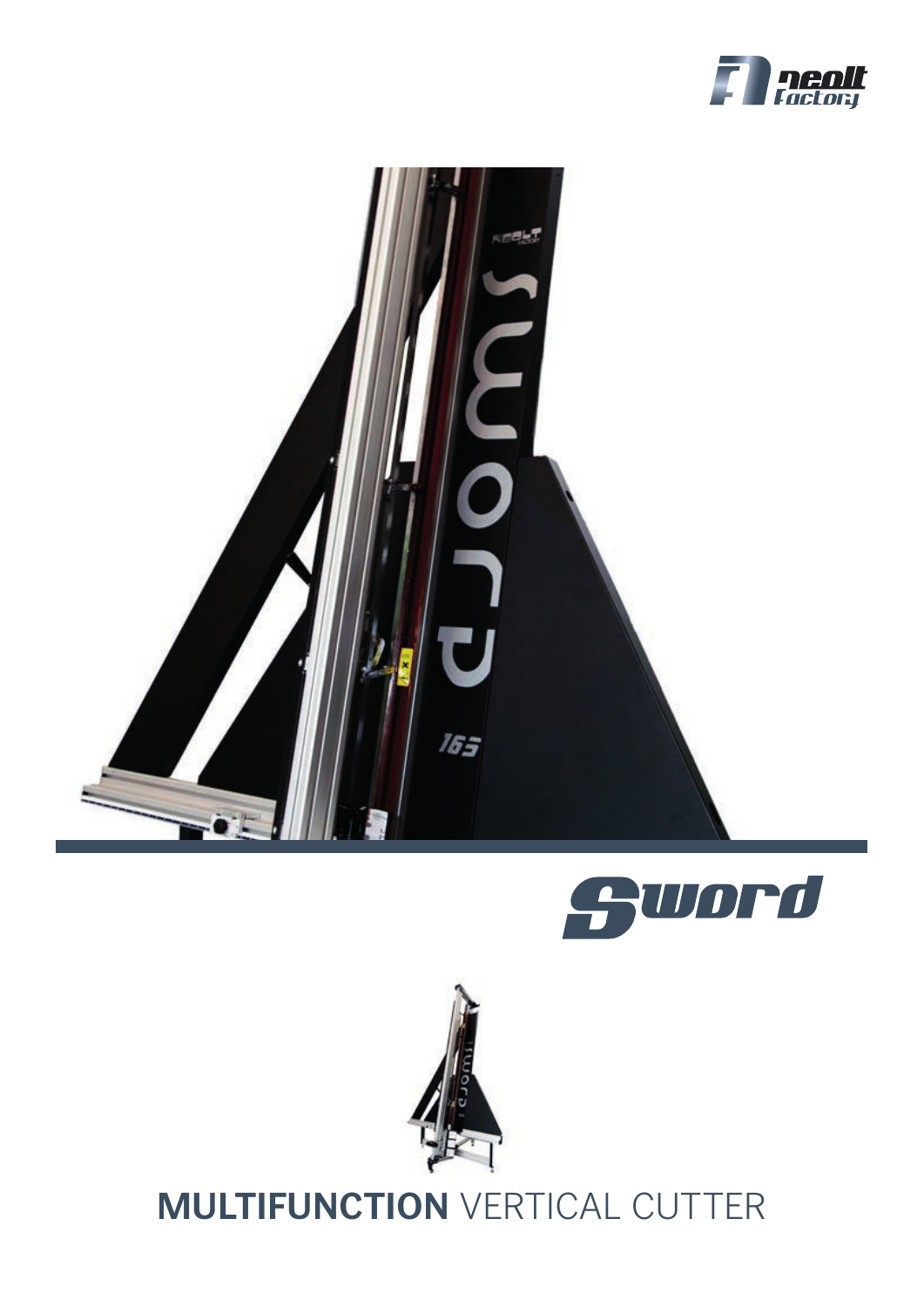







# **MULTIFUNCTION** VERTICAL CUTTER